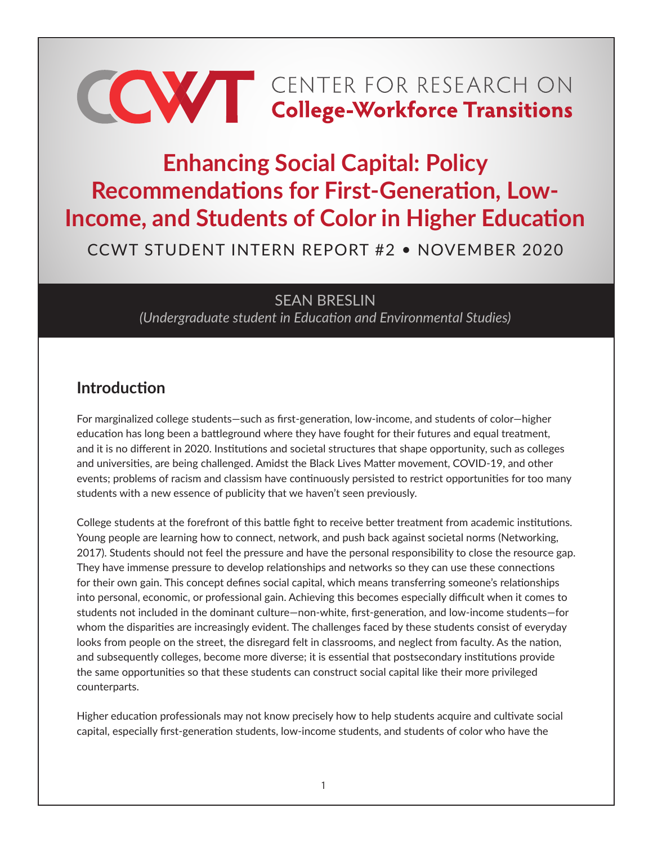# **CONTER FOR RESEARCH ON College-Workforce Transitions**

# **Enhancing Social Capital: Policy Recommendations for First-Generation, Low-Income, and Students of Color in Higher Education**

CCWT STUDENT INTERN REPORT #2 • NOVEMBER 2020

SEAN BRESLIN *(Undergraduate student in Education and Environmental Studies)*

# **Introduction**

For marginalized college students—such as first-generation, low-income, and students of color—higher education has long been a battleground where they have fought for their futures and equal treatment, and it is no different in 2020. Institutions and societal structures that shape opportunity, such as colleges and universities, are being challenged. Amidst the Black Lives Matter movement, COVID-19, and other events; problems of racism and classism have continuously persisted to restrict opportunities for too many students with a new essence of publicity that we haven't seen previously.

College students at the forefront of this battle fight to receive better treatment from academic institutions. Young people are learning how to connect, network, and push back against societal norms (Networking, 2017). Students should not feel the pressure and have the personal responsibility to close the resource gap. They have immense pressure to develop relationships and networks so they can use these connections for their own gain. This concept defines social capital, which means transferring someone's relationships into personal, economic, or professional gain. Achieving this becomes especially difficult when it comes to students not included in the dominant culture—non-white, first-generation, and low-income students—for whom the disparities are increasingly evident. The challenges faced by these students consist of everyday looks from people on the street, the disregard felt in classrooms, and neglect from faculty. As the nation, and subsequently colleges, become more diverse; it is essential that postsecondary institutions provide the same opportunities so that these students can construct social capital like their more privileged counterparts.

Higher education professionals may not know precisely how to help students acquire and cultivate social capital, especially first-generation students, low-income students, and students of color who have the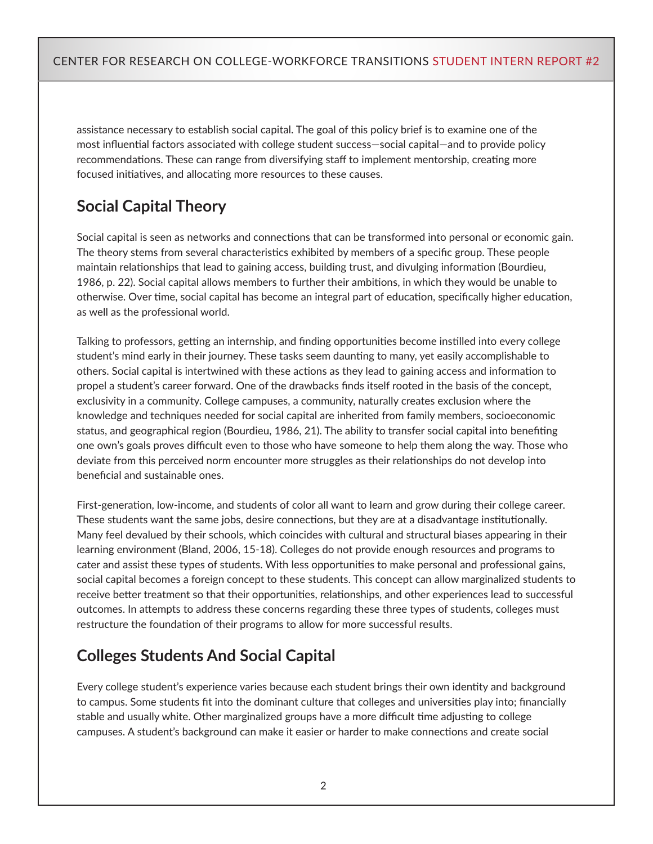assistance necessary to establish social capital. The goal of this policy brief is to examine one of the most influential factors associated with college student success—social capital—and to provide policy recommendations. These can range from diversifying staff to implement mentorship, creating more focused initiatives, and allocating more resources to these causes.

# **Social Capital Theory**

Social capital is seen as networks and connections that can be transformed into personal or economic gain. The theory stems from several characteristics exhibited by members of a specific group. These people maintain relationships that lead to gaining access, building trust, and divulging information (Bourdieu, 1986, p. 22). Social capital allows members to further their ambitions, in which they would be unable to otherwise. Over time, social capital has become an integral part of education, specifically higher education, as well as the professional world.

Talking to professors, getting an internship, and finding opportunities become instilled into every college student's mind early in their journey. These tasks seem daunting to many, yet easily accomplishable to others. Social capital is intertwined with these actions as they lead to gaining access and information to propel a student's career forward. One of the drawbacks finds itself rooted in the basis of the concept, exclusivity in a community. College campuses, a community, naturally creates exclusion where the knowledge and techniques needed for social capital are inherited from family members, socioeconomic status, and geographical region (Bourdieu, 1986, 21). The ability to transfer social capital into benefiting one own's goals proves difficult even to those who have someone to help them along the way. Those who deviate from this perceived norm encounter more struggles as their relationships do not develop into beneficial and sustainable ones.

First-generation, low-income, and students of color all want to learn and grow during their college career. These students want the same jobs, desire connections, but they are at a disadvantage institutionally. Many feel devalued by their schools, which coincides with cultural and structural biases appearing in their learning environment (Bland, 2006, 15-18). Colleges do not provide enough resources and programs to cater and assist these types of students. With less opportunities to make personal and professional gains, social capital becomes a foreign concept to these students. This concept can allow marginalized students to receive better treatment so that their opportunities, relationships, and other experiences lead to successful outcomes. In attempts to address these concerns regarding these three types of students, colleges must restructure the foundation of their programs to allow for more successful results.

# **Colleges Students And Social Capital**

Every college student's experience varies because each student brings their own identity and background to campus. Some students fit into the dominant culture that colleges and universities play into; financially stable and usually white. Other marginalized groups have a more difficult time adjusting to college campuses. A student's background can make it easier or harder to make connections and create social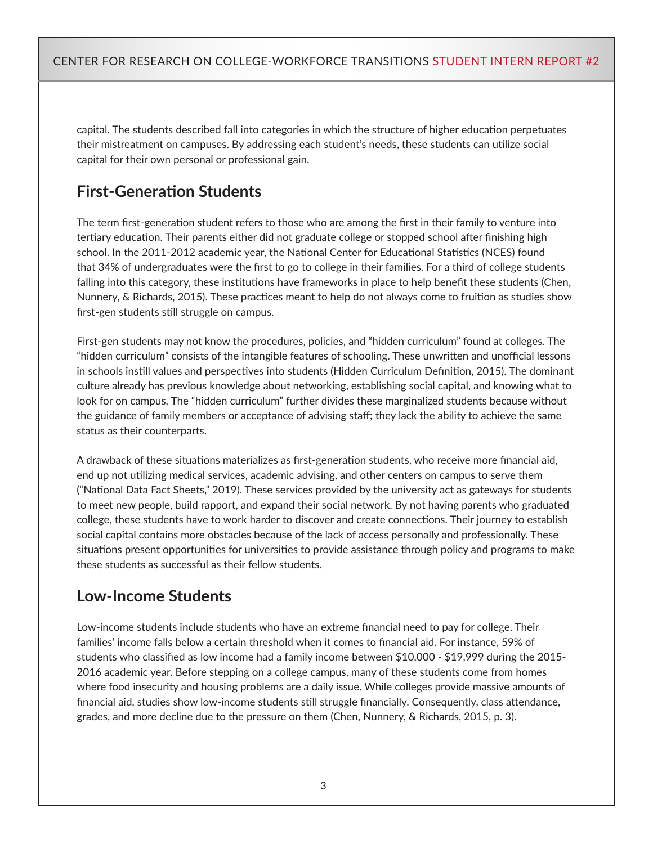capital. The students described fall into categories in which the structure of higher education perpetuates their mistreatment on campuses. By addressing each student's needs, these students can utilize social capital for their own personal or professional gain.

# **First-Generation Students**

The term first-generation student refers to those who are among the first in their family to venture into tertiary education. Their parents either did not graduate college or stopped school after finishing high school. In the 2011-2012 academic year, the National Center for Educational Statistics (NCES) found that 34% of undergraduates were the first to go to college in their families. For a third of college students falling into this category, these institutions have frameworks in place to help benefit these students (Chen, Nunnery, & Richards, 2015). These practices meant to help do not always come to fruition as studies show first-gen students still struggle on campus.

First-gen students may not know the procedures, policies, and "hidden curriculum" found at colleges. The "hidden curriculum" consists of the intangible features of schooling. These unwritten and unofficial lessons in schools instill values and perspectives into students (Hidden Curriculum Definition, 2015). The dominant culture already has previous knowledge about networking, establishing social capital, and knowing what to look for on campus. The "hidden curriculum" further divides these marginalized students because without the guidance of family members or acceptance of advising staff; they lack the ability to achieve the same status as their counterparts.

A drawback of these situations materializes as first-generation students, who receive more financial aid, end up not utilizing medical services, academic advising, and other centers on campus to serve them ("National Data Fact Sheets," 2019). These services provided by the university act as gateways for students to meet new people, build rapport, and expand their social network. By not having parents who graduated college, these students have to work harder to discover and create connections. Their journey to establish social capital contains more obstacles because of the lack of access personally and professionally. These situations present opportunities for universities to provide assistance through policy and programs to make these students as successful as their fellow students.

# **Low-Income Students**

Low-income students include students who have an extreme financial need to pay for college. Their families' income falls below a certain threshold when it comes to financial aid. For instance, 59% of students who classified as low income had a family income between \$10,000 - \$19,999 during the 2015- 2016 academic year. Before stepping on a college campus, many of these students come from homes where food insecurity and housing problems are a daily issue. While colleges provide massive amounts of financial aid, studies show low-income students still struggle financially. Consequently, class attendance, grades, and more decline due to the pressure on them (Chen, Nunnery, & Richards, 2015, p. 3).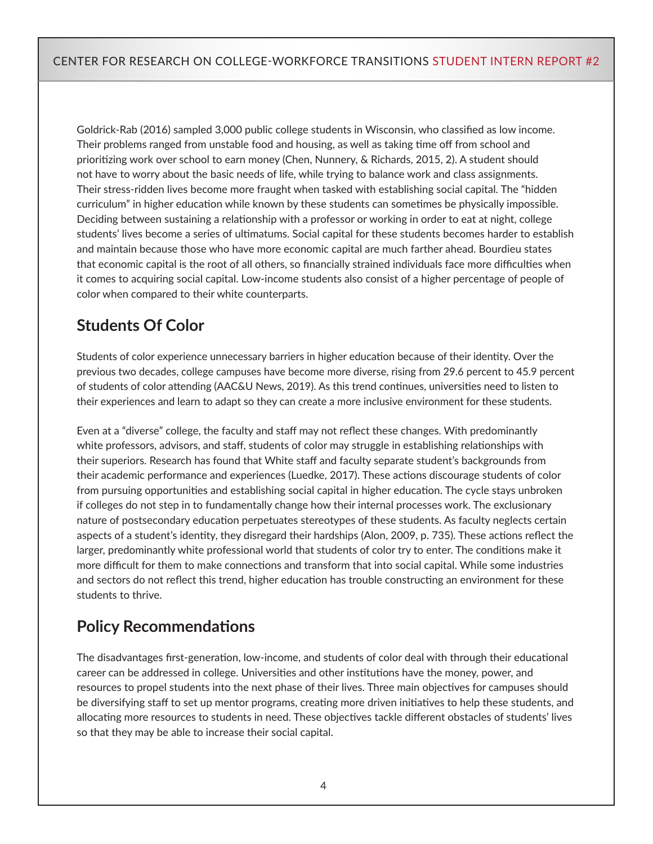Goldrick-Rab (2016) sampled 3,000 public college students in Wisconsin, who classified as low income. Their problems ranged from unstable food and housing, as well as taking time off from school and prioritizing work over school to earn money (Chen, Nunnery, & Richards, 2015, 2). A student should not have to worry about the basic needs of life, while trying to balance work and class assignments. Their stress-ridden lives become more fraught when tasked with establishing social capital. The "hidden curriculum" in higher education while known by these students can sometimes be physically impossible. Deciding between sustaining a relationship with a professor or working in order to eat at night, college students' lives become a series of ultimatums. Social capital for these students becomes harder to establish and maintain because those who have more economic capital are much farther ahead. Bourdieu states that economic capital is the root of all others, so financially strained individuals face more difficulties when it comes to acquiring social capital. Low-income students also consist of a higher percentage of people of color when compared to their white counterparts.

## **Students Of Color**

Students of color experience unnecessary barriers in higher education because of their identity. Over the previous two decades, college campuses have become more diverse, rising from 29.6 percent to 45.9 percent of students of color attending (AAC&U News, 2019). As this trend continues, universities need to listen to their experiences and learn to adapt so they can create a more inclusive environment for these students.

Even at a "diverse" college, the faculty and staff may not reflect these changes. With predominantly white professors, advisors, and staff, students of color may struggle in establishing relationships with their superiors. Research has found that White staff and faculty separate student's backgrounds from their academic performance and experiences (Luedke, 2017). These actions discourage students of color from pursuing opportunities and establishing social capital in higher education. The cycle stays unbroken if colleges do not step in to fundamentally change how their internal processes work. The exclusionary nature of postsecondary education perpetuates stereotypes of these students. As faculty neglects certain aspects of a student's identity, they disregard their hardships (Alon, 2009, p. 735). These actions reflect the larger, predominantly white professional world that students of color try to enter. The conditions make it more difficult for them to make connections and transform that into social capital. While some industries and sectors do not reflect this trend, higher education has trouble constructing an environment for these students to thrive.

### **Policy Recommendations**

The disadvantages first-generation, low-income, and students of color deal with through their educational career can be addressed in college. Universities and other institutions have the money, power, and resources to propel students into the next phase of their lives. Three main objectives for campuses should be diversifying staff to set up mentor programs, creating more driven initiatives to help these students, and allocating more resources to students in need. These objectives tackle different obstacles of students' lives so that they may be able to increase their social capital.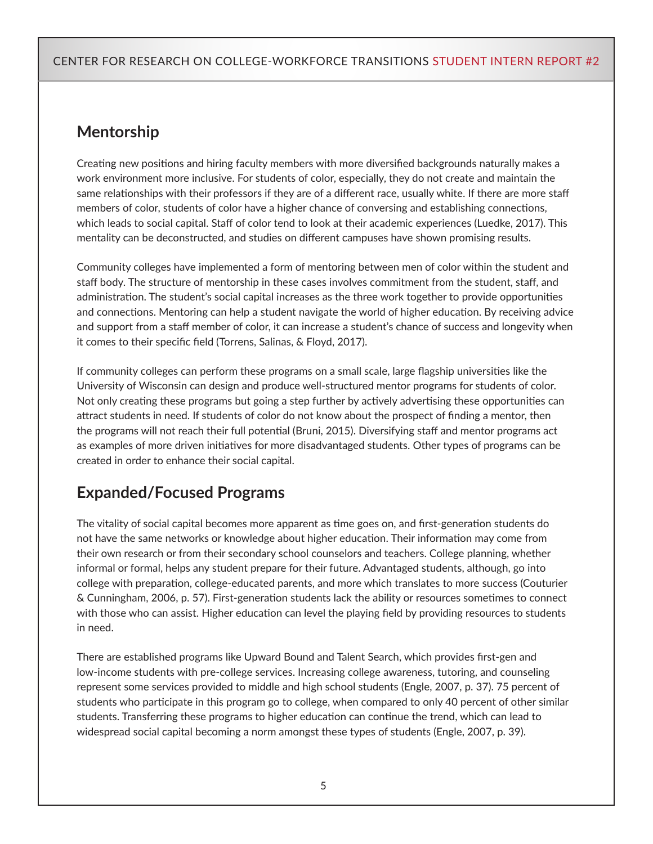# **Mentorship**

Creating new positions and hiring faculty members with more diversified backgrounds naturally makes a work environment more inclusive. For students of color, especially, they do not create and maintain the same relationships with their professors if they are of a different race, usually white. If there are more staff members of color, students of color have a higher chance of conversing and establishing connections, which leads to social capital. Staff of color tend to look at their academic experiences (Luedke, 2017). This mentality can be deconstructed, and studies on different campuses have shown promising results.

Community colleges have implemented a form of mentoring between men of color within the student and staff body. The structure of mentorship in these cases involves commitment from the student, staff, and administration. The student's social capital increases as the three work together to provide opportunities and connections. Mentoring can help a student navigate the world of higher education. By receiving advice and support from a staff member of color, it can increase a student's chance of success and longevity when it comes to their specific field (Torrens, Salinas, & Floyd, 2017).

If community colleges can perform these programs on a small scale, large flagship universities like the University of Wisconsin can design and produce well-structured mentor programs for students of color. Not only creating these programs but going a step further by actively advertising these opportunities can attract students in need. If students of color do not know about the prospect of finding a mentor, then the programs will not reach their full potential (Bruni, 2015). Diversifying staff and mentor programs act as examples of more driven initiatives for more disadvantaged students. Other types of programs can be created in order to enhance their social capital.

# **Expanded/Focused Programs**

The vitality of social capital becomes more apparent as time goes on, and first-generation students do not have the same networks or knowledge about higher education. Their information may come from their own research or from their secondary school counselors and teachers. College planning, whether informal or formal, helps any student prepare for their future. Advantaged students, although, go into college with preparation, college-educated parents, and more which translates to more success (Couturier & Cunningham, 2006, p. 57). First-generation students lack the ability or resources sometimes to connect with those who can assist. Higher education can level the playing field by providing resources to students in need.

There are established programs like Upward Bound and Talent Search, which provides first-gen and low-income students with pre-college services. Increasing college awareness, tutoring, and counseling represent some services provided to middle and high school students (Engle, 2007, p. 37). 75 percent of students who participate in this program go to college, when compared to only 40 percent of other similar students. Transferring these programs to higher education can continue the trend, which can lead to widespread social capital becoming a norm amongst these types of students (Engle, 2007, p. 39).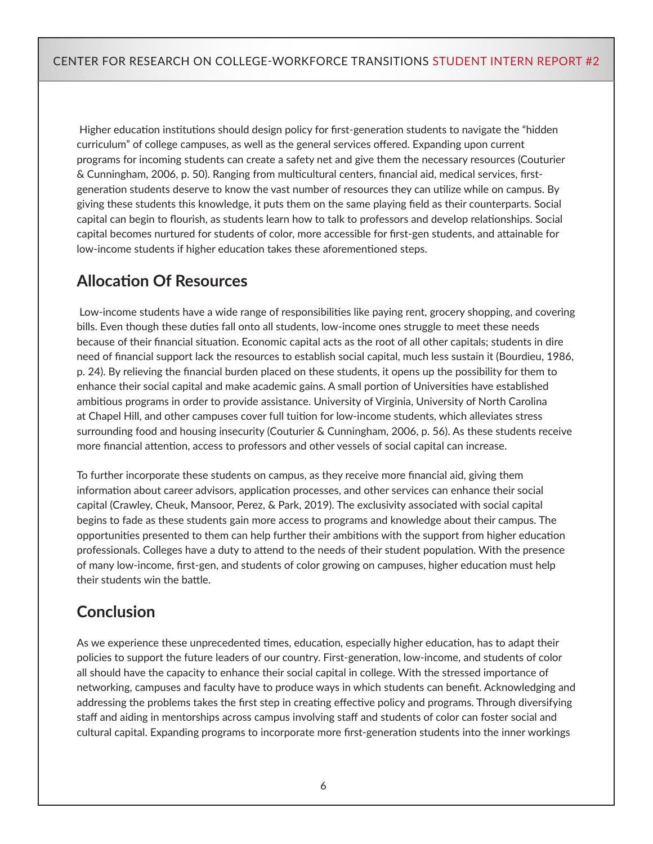Higher education institutions should design policy for first-generation students to navigate the "hidden curriculum" of college campuses, as well as the general services offered. Expanding upon current programs for incoming students can create a safety net and give them the necessary resources (Couturier & Cunningham, 2006, p. 50). Ranging from multicultural centers, financial aid, medical services, firstgeneration students deserve to know the vast number of resources they can utilize while on campus. By giving these students this knowledge, it puts them on the same playing field as their counterparts. Social capital can begin to flourish, as students learn how to talk to professors and develop relationships. Social capital becomes nurtured for students of color, more accessible for first-gen students, and attainable for low-income students if higher education takes these aforementioned steps.

# **Allocation Of Resources**

 Low-income students have a wide range of responsibilities like paying rent, grocery shopping, and covering bills. Even though these duties fall onto all students, low-income ones struggle to meet these needs because of their financial situation. Economic capital acts as the root of all other capitals; students in dire need of financial support lack the resources to establish social capital, much less sustain it (Bourdieu, 1986, p. 24). By relieving the financial burden placed on these students, it opens up the possibility for them to enhance their social capital and make academic gains. A small portion of Universities have established ambitious programs in order to provide assistance. University of Virginia, University of North Carolina at Chapel Hill, and other campuses cover full tuition for low-income students, which alleviates stress surrounding food and housing insecurity (Couturier & Cunningham, 2006, p. 56). As these students receive more financial attention, access to professors and other vessels of social capital can increase.

To further incorporate these students on campus, as they receive more financial aid, giving them information about career advisors, application processes, and other services can enhance their social capital (Crawley, Cheuk, Mansoor, Perez, & Park, 2019). The exclusivity associated with social capital begins to fade as these students gain more access to programs and knowledge about their campus. The opportunities presented to them can help further their ambitions with the support from higher education professionals. Colleges have a duty to attend to the needs of their student population. With the presence of many low-income, first-gen, and students of color growing on campuses, higher education must help their students win the battle.

# **Conclusion**

As we experience these unprecedented times, education, especially higher education, has to adapt their policies to support the future leaders of our country. First-generation, low-income, and students of color all should have the capacity to enhance their social capital in college. With the stressed importance of networking, campuses and faculty have to produce ways in which students can benefit. Acknowledging and addressing the problems takes the first step in creating effective policy and programs. Through diversifying staff and aiding in mentorships across campus involving staff and students of color can foster social and cultural capital. Expanding programs to incorporate more first-generation students into the inner workings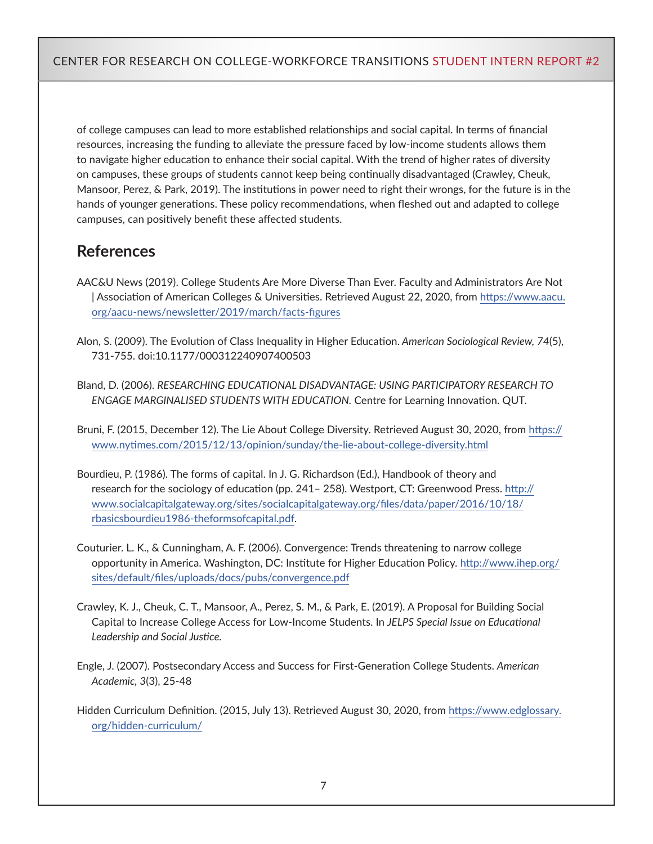of college campuses can lead to more established relationships and social capital. In terms of financial resources, increasing the funding to alleviate the pressure faced by low-income students allows them to navigate higher education to enhance their social capital. With the trend of higher rates of diversity on campuses, these groups of students cannot keep being continually disadvantaged (Crawley, Cheuk, Mansoor, Perez, & Park, 2019). The institutions in power need to right their wrongs, for the future is in the hands of younger generations. These policy recommendations, when fleshed out and adapted to college campuses, can positively benefit these affected students.

# **References**

- AAC&U News (2019). College Students Are More Diverse Than Ever. Faculty and Administrators Are Not | Association of American Colleges & Universities. Retrieved August 22, 2020, from [https://www.aacu.](https://www.aacu.org/aacu-news/newsletter/2019/march/facts-figures) [org/aacu-news/newsletter/2019/march/facts-figures](https://www.aacu.org/aacu-news/newsletter/2019/march/facts-figures)
- Alon, S. (2009). The Evolution of Class Inequality in Higher Education. *American Sociological Review, 74*(5), 731-755. doi:10.1177/000312240907400503
- Bland, D. (2006). *RESEARCHING EDUCATIONAL DISADVANTAGE: USING PARTICIPATORY RESEARCH TO ENGAGE MARGINALISED STUDENTS WITH EDUCATION.* Centre for Learning Innovation. QUT.

Bruni, F. (2015, December 12). The Lie About College Diversity. Retrieved August 30, 2020, from [https://](https://www.nytimes.com/2015/12/13/opinion/sunday/the-lie-about-college-diversity.html) [www.nytimes.com/2015/12/13/opinion/sunday/the-lie-about-college-diversity.html](https://www.nytimes.com/2015/12/13/opinion/sunday/the-lie-about-college-diversity.html)

- Bourdieu, P. (1986). The forms of capital. In J. G. Richardson (Ed.), Handbook of theory and research for the sociology of education (pp. 241– 258). Westport, CT: Greenwood Press. [http://](http://www.socialcapitalgateway.org/sites/socialcapitalgateway.org/files/data/paper/2016/10/18/rbasicsbourdieu1986-theformsofcapital.pdf) [www.socialcapitalgateway.org/sites/socialcapitalgateway.org/files/data/paper/2016/10/18/](http://www.socialcapitalgateway.org/sites/socialcapitalgateway.org/files/data/paper/2016/10/18/rbasicsbourdieu1986-theformsofcapital.pdf) [rbasicsbourdieu1986-theformsofcapital.pdf](http://www.socialcapitalgateway.org/sites/socialcapitalgateway.org/files/data/paper/2016/10/18/rbasicsbourdieu1986-theformsofcapital.pdf).
- Couturier. L. K., & Cunningham, A. F. (2006). Convergence: Trends threatening to narrow college opportunity in America. Washington, DC: Institute for Higher Education Policy. [http://www.ihep.org/](http://www.ihep.org/sites/default/files/uploads/docs/pubs/convergence.pdf) [sites/default/files/uploads/docs/pubs/convergence.pdf](http://www.ihep.org/sites/default/files/uploads/docs/pubs/convergence.pdf)
- Crawley, K. J., Cheuk, C. T., Mansoor, A., Perez, S. M., & Park, E. (2019). A Proposal for Building Social Capital to Increase College Access for Low-Income Students. In *JELPS Special Issue on Educational Leadership and Social Justice.*
- Engle, J. (2007). Postsecondary Access and Success for First-Generation College Students. *American Academic, 3*(3), 25-48
- Hidden Curriculum Definition. (2015, July 13). Retrieved August 30, 2020, from [https://www.edglossary.](https://www.edglossary.org/hidden-curriculum/) [org/hidden-curriculum/](https://www.edglossary.org/hidden-curriculum/)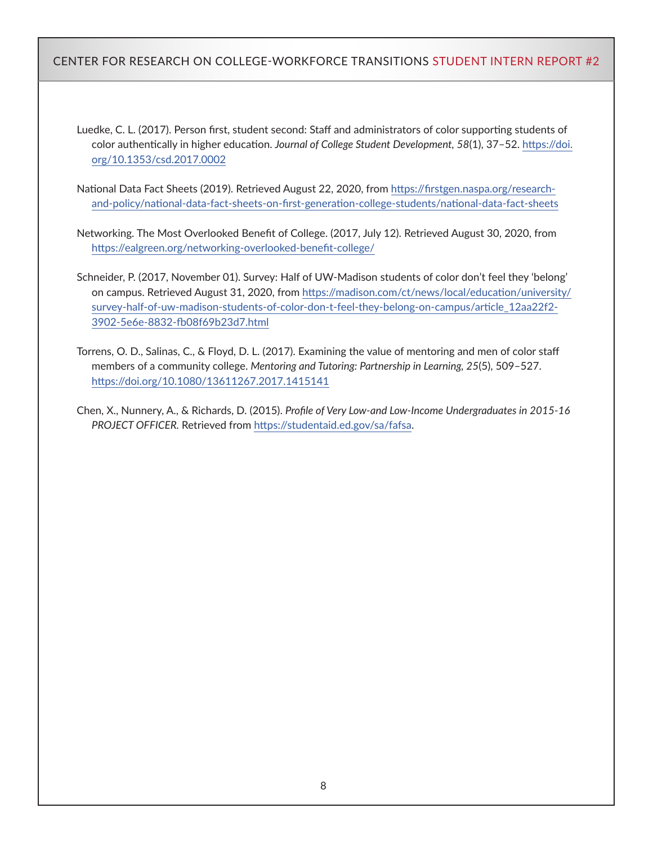#### CENTER FOR RESEARCH ON COLLEGE-WORKFORCE TRANSITIONS STUDENT INTERN REPORT #2

Luedke, C. L. (2017). Person first, student second: Staff and administrators of color supporting students of color authentically in higher education. *Journal of College Student Development, 58*(1), 37–52. [https://doi.](https://doi.org/10.1353/csd.2017.0002) [org/10.1353/csd.2017.0002](https://doi.org/10.1353/csd.2017.0002)

National Data Fact Sheets (2019). Retrieved August 22, 2020, from [https://firstgen.naspa.org/research](https://firstgen.naspa.org/research-and-policy/national-data-fact-sheets-on-first-generation-college-students/national-data-fact-sheets)[and-policy/national-data-fact-sheets-on-first-generation-college-students/national-data-fact-sheets](https://firstgen.naspa.org/research-and-policy/national-data-fact-sheets-on-first-generation-college-students/national-data-fact-sheets)

Networking. The Most Overlooked Benefit of College. (2017, July 12). Retrieved August 30, 2020, from <https://ealgreen.org/networking-overlooked-benefit-college/>

Schneider, P. (2017, November 01). Survey: Half of UW-Madison students of color don't feel they 'belong' on campus. Retrieved August 31, 2020, from [https://madison.com/ct/news/local/education/university/](https://madison.com/ct/news/local/education/university/survey-half-of-uw-madison-students-of-color-don-t-feel-they-belong-on-campus/article_12aa22f2-3902-5e6e-8832-fb08f69b23d7.html) [survey-half-of-uw-madison-students-of-color-don-t-feel-they-belong-on-campus/article\\_12aa22f2-](https://madison.com/ct/news/local/education/university/survey-half-of-uw-madison-students-of-color-don-t-feel-they-belong-on-campus/article_12aa22f2-3902-5e6e-8832-fb08f69b23d7.html) [3902-5e6e-8832-fb08f69b23d7.html](https://madison.com/ct/news/local/education/university/survey-half-of-uw-madison-students-of-color-don-t-feel-they-belong-on-campus/article_12aa22f2-3902-5e6e-8832-fb08f69b23d7.html)

Torrens, O. D., Salinas, C., & Floyd, D. L. (2017). Examining the value of mentoring and men of color staff members of a community college. *Mentoring and Tutoring: Partnership in Learning, 25*(5), 509–527. <https://doi.org/10.1080/13611267.2017.1415141>

Chen, X., Nunnery, A., & Richards, D. (2015). *Profile of Very Low-and Low-Income Undergraduates in 2015-16 PROJECT OFFICER.* Retrieved from [https://studentaid.ed.gov/sa/fafsa.](https://studentaid.ed.gov/sa/fafsa)